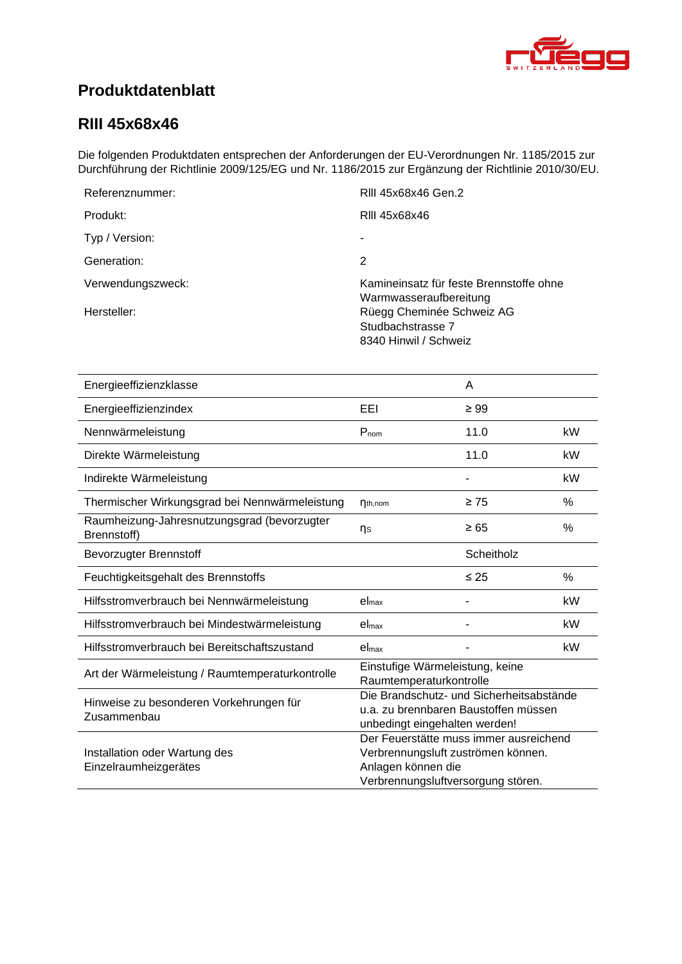<span id="page-0-4"></span><span id="page-0-3"></span><span id="page-0-2"></span><span id="page-0-1"></span>

# **Produktdatenblatt**

### <span id="page-0-0"></span>**RIII 45x68x46**

Die folgenden Produktdaten entsprechen der Anforderungen der EU-Verordnungen Nr. 1185/2015 zur Durchführung der Richtlinie 2009/125/EG und Nr. 1186/2015 zur Ergänzung der Richtlinie 2010/30/EU.

| Referenznummer:   | RIII 45x68x46 Gen.2                                                     |
|-------------------|-------------------------------------------------------------------------|
| Produkt:          | RIII 45x68x46                                                           |
| Typ / Version:    |                                                                         |
| Generation:       | 2                                                                       |
| Verwendungszweck: | Kamineinsatz für feste Brennstoffe ohne<br>Warmwasseraufbereitung       |
| Hersteller:       | Rüegg Cheminée Schweiz AG<br>Studbachstrasse 7<br>8340 Hinwil / Schweiz |

<span id="page-0-8"></span><span id="page-0-7"></span><span id="page-0-6"></span><span id="page-0-5"></span>

| Energieeffizienzklasse                                     |                                                                                                                                          | A          |      |
|------------------------------------------------------------|------------------------------------------------------------------------------------------------------------------------------------------|------------|------|
| Energieeffizienzindex                                      | EEI                                                                                                                                      | $\geq 99$  |      |
| Nennwärmeleistung                                          | $P_{nom}$                                                                                                                                | 11.0       | kW   |
| Direkte Wärmeleistung                                      |                                                                                                                                          | 11.0       | kW   |
| Indirekte Wärmeleistung                                    |                                                                                                                                          |            | kW   |
| Thermischer Wirkungsgrad bei Nennwärmeleistung             | $\eta_{th,nom}$                                                                                                                          | $\geq 75$  | %    |
| Raumheizung-Jahresnutzungsgrad (bevorzugter<br>Brennstoff) | ηs                                                                                                                                       | $\geq 65$  | $\%$ |
| <b>Bevorzugter Brennstoff</b>                              |                                                                                                                                          | Scheitholz |      |
| Feuchtigkeitsgehalt des Brennstoffs                        |                                                                                                                                          | $\leq 25$  | %    |
| Hilfsstromverbrauch bei Nennwärmeleistung                  | el <sub>max</sub>                                                                                                                        |            | kW   |
| Hilfsstromverbrauch bei Mindestwärmeleistung               | el <sub>max</sub>                                                                                                                        |            | kW   |
| Hilfsstromverbrauch bei Bereitschaftszustand               | el <sub>max</sub>                                                                                                                        |            | kW   |
| Art der Wärmeleistung / Raumtemperaturkontrolle            | Einstufige Wärmeleistung, keine<br>Raumtemperaturkontrolle                                                                               |            |      |
| Hinweise zu besonderen Vorkehrungen für<br>Zusammenbau     | Die Brandschutz- und Sicherheitsabstände<br>u.a. zu brennbaren Baustoffen müssen<br>unbedingt eingehalten werden!                        |            |      |
| Installation oder Wartung des<br>Einzelraumheizgerätes     | Der Feuerstätte muss immer ausreichend<br>Verbrennungsluft zuströmen können.<br>Anlagen können die<br>Verbrennungsluftversorgung stören. |            |      |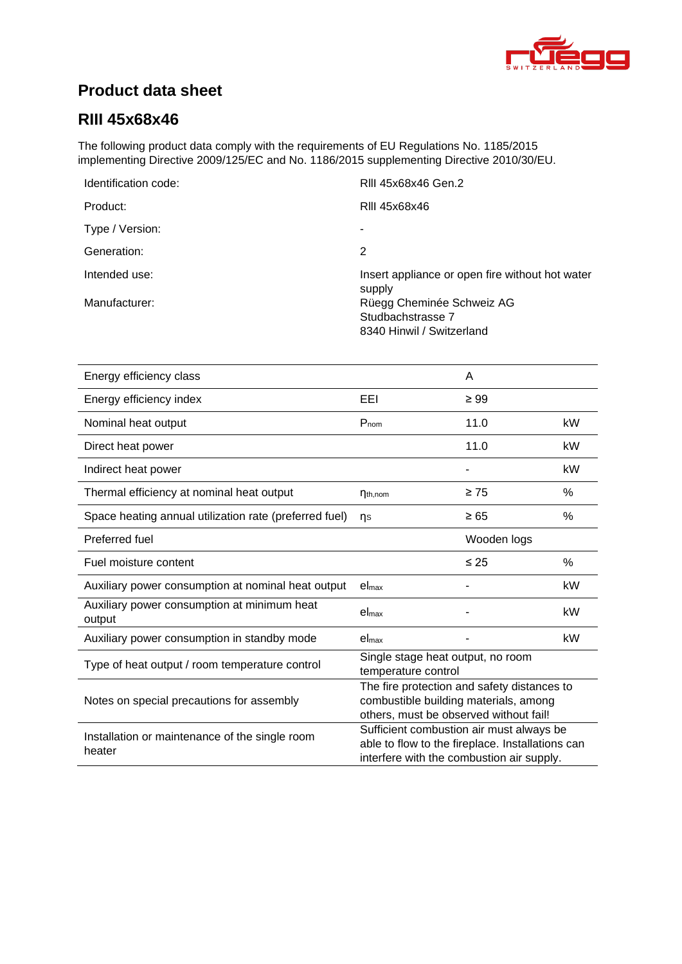

# **Product data sheet**

### **RIII [45x68x46](#page-0-0)**

The following product data comply with the requirements of EU Regulations No. 1185/2015 implementing Directive 2009/125/EC and No. 1186/2015 supplementing Directive 2010/30/EU.

| Identification code: | RIII 45x68x46 Gen.2                                       |
|----------------------|-----------------------------------------------------------|
| Product:             | RIII 45x68x46                                             |
| Type / Version:      | ٠                                                         |
| Generation:          | 2                                                         |
| Intended use:        | Insert appliance or open fire without hot water<br>supply |
| Manufacturer:        | Rüegg Cheminée Schweiz AG                                 |
|                      | Studbachstrasse 7                                         |
|                      | 8340 Hinwil / Switzerland                                 |

| Energy efficiency class                                  |                                                                                                                                           | A           |      |
|----------------------------------------------------------|-------------------------------------------------------------------------------------------------------------------------------------------|-------------|------|
| Energy efficiency index                                  | EEI                                                                                                                                       | $\geq 99$   |      |
| Nominal heat output                                      | $P_{nom}$                                                                                                                                 | 11.0        | kW   |
| Direct heat power                                        |                                                                                                                                           | 11.0        | kW   |
| Indirect heat power                                      |                                                                                                                                           |             | kW   |
| Thermal efficiency at nominal heat output                | $\eta_{th,nom}$                                                                                                                           | $\geq 75$   | %    |
| Space heating annual utilization rate (preferred fuel)   | ns                                                                                                                                        | $\geq 65$   | %    |
| Preferred fuel                                           |                                                                                                                                           | Wooden logs |      |
| Fuel moisture content                                    |                                                                                                                                           | $\leq 25$   | $\%$ |
| Auxiliary power consumption at nominal heat output       | el <sub>max</sub>                                                                                                                         |             | kW   |
| Auxiliary power consumption at minimum heat<br>output    | $el_{\text{max}}$                                                                                                                         |             | kW   |
| Auxiliary power consumption in standby mode              | el <sub>max</sub>                                                                                                                         |             | kW   |
| Type of heat output / room temperature control           | Single stage heat output, no room<br>temperature control                                                                                  |             |      |
| Notes on special precautions for assembly                | The fire protection and safety distances to<br>combustible building materials, among<br>others, must be observed without fail!            |             |      |
| Installation or maintenance of the single room<br>heater | Sufficient combustion air must always be<br>able to flow to the fireplace. Installations can<br>interfere with the combustion air supply. |             |      |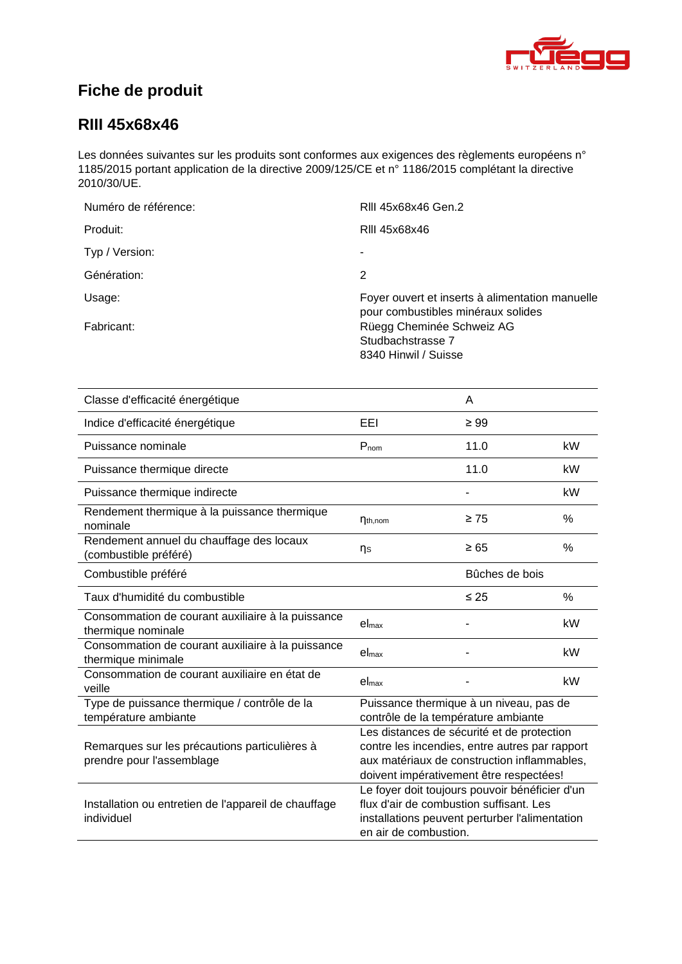

# **Fiche de produit**

### **RIII [45x68x46](#page-0-0)**

Les données suivantes sur les produits sont conformes aux exigences des règlements européens n° 1185/2015 portant application de la directive 2009/125/CE et n° 1186/2015 complétant la directive 2010/30/UE.

| Numéro de référence: | RIII 45x68x46 Gen.2                                                                   |
|----------------------|---------------------------------------------------------------------------------------|
| Produit:             | RIII 45x68x46                                                                         |
| Typ / Version:       | ۰                                                                                     |
| Génération:          | 2                                                                                     |
| Usage:               | Foyer ouvert et inserts à alimentation manuelle<br>pour combustibles minéraux solides |
| Fabricant:           | Rüegg Cheminée Schweiz AG<br>Studbachstrasse 7<br>8340 Hinwil / Suisse                |

| Classe d'efficacité énergétique                                            |                                                                                                                                                                                        | A         |           |
|----------------------------------------------------------------------------|----------------------------------------------------------------------------------------------------------------------------------------------------------------------------------------|-----------|-----------|
| Indice d'efficacité énergétique                                            | EEL                                                                                                                                                                                    | $\geq 99$ |           |
| Puissance nominale                                                         | $P_{nom}$                                                                                                                                                                              | 11.0      | kW        |
| Puissance thermique directe                                                |                                                                                                                                                                                        | 11.0      | <b>kW</b> |
| Puissance thermique indirecte                                              |                                                                                                                                                                                        |           | kW        |
| Rendement thermique à la puissance thermique<br>nominale                   | $\eta_{th,nom}$                                                                                                                                                                        | $\geq 75$ | %         |
| Rendement annuel du chauffage des locaux<br>(combustible préféré)          | ηs                                                                                                                                                                                     | $\geq 65$ | %         |
| Combustible préféré                                                        | Bûches de bois                                                                                                                                                                         |           |           |
| Taux d'humidité du combustible                                             |                                                                                                                                                                                        | $\leq 25$ | $\%$      |
| Consommation de courant auxiliaire à la puissance<br>thermique nominale    | el <sub>max</sub>                                                                                                                                                                      |           | kW        |
| Consommation de courant auxiliaire à la puissance<br>thermique minimale    | el <sub>max</sub>                                                                                                                                                                      |           | kW        |
| Consommation de courant auxiliaire en état de<br>veille                    | el <sub>max</sub>                                                                                                                                                                      |           | kW        |
| Type de puissance thermique / contrôle de la<br>température ambiante       | Puissance thermique à un niveau, pas de<br>contrôle de la température ambiante                                                                                                         |           |           |
| Remarques sur les précautions particulières à<br>prendre pour l'assemblage | Les distances de sécurité et de protection<br>contre les incendies, entre autres par rapport<br>aux matériaux de construction inflammables,<br>doivent impérativement être respectées! |           |           |
| Installation ou entretien de l'appareil de chauffage<br>individuel         | Le foyer doit toujours pouvoir bénéficier d'un<br>flux d'air de combustion suffisant. Les<br>installations peuvent perturber l'alimentation<br>en air de combustion.                   |           |           |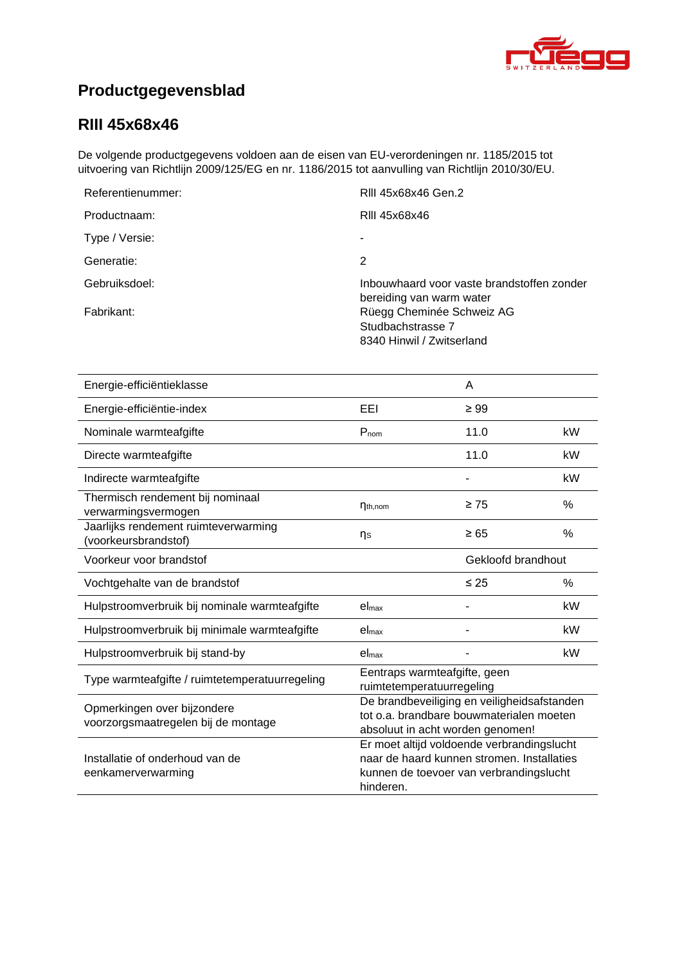

# **Productgegevensblad**

### **RIII [45x68x46](#page-0-0)**

De volgende productgegevens voldoen aan de eisen van EU-verordeningen nr. 1185/2015 tot uitvoering van Richtlijn 2009/125/EG en nr. 1186/2015 tot aanvulling van Richtlijn 2010/30/EU.

| Referentienummer: | RIII 45x68x46 Gen.2                                                         |
|-------------------|-----------------------------------------------------------------------------|
| Productnaam:      | RIII 45x68x46                                                               |
| Type / Versie:    |                                                                             |
| Generatie:        | 2                                                                           |
| Gebruiksdoel:     | Inbouwhaard voor vaste brandstoffen zonder<br>bereiding van warm water      |
| Fabrikant:        | Rüegg Cheminée Schweiz AG<br>Studbachstrasse 7<br>8340 Hinwil / Zwitserland |

| Energie-efficiëntieklasse                                          |                                                                                                                                                  | A         |               |
|--------------------------------------------------------------------|--------------------------------------------------------------------------------------------------------------------------------------------------|-----------|---------------|
| Energie-efficiëntie-index                                          | EEI                                                                                                                                              | $\geq 99$ |               |
| Nominale warmteafgifte                                             | $P_{nom}$                                                                                                                                        | 11.0      | kW            |
| Directe warmteafgifte                                              |                                                                                                                                                  | 11.0      | kW            |
| Indirecte warmteafgifte                                            |                                                                                                                                                  |           | kW            |
| Thermisch rendement bij nominaal<br>verwarmingsvermogen            | $\eta_{th,nom}$                                                                                                                                  | $\geq 75$ | $\frac{0}{0}$ |
| Jaarlijks rendement ruimteverwarming<br>(voorkeursbrandstof)       | ηs                                                                                                                                               | $\geq 65$ | %             |
| Voorkeur voor brandstof                                            | Gekloofd brandhout                                                                                                                               |           |               |
| Vochtgehalte van de brandstof                                      |                                                                                                                                                  | $\leq$ 25 | $\%$          |
| Hulpstroomverbruik bij nominale warmteafgifte                      | el <sub>max</sub>                                                                                                                                |           | kW            |
| Hulpstroomverbruik bij minimale warmteafgifte                      | el <sub>max</sub>                                                                                                                                |           | kW            |
| Hulpstroomverbruik bij stand-by                                    | el <sub>max</sub>                                                                                                                                |           | kW            |
| Type warmteafgifte / ruimtetemperatuurregeling                     | Eentraps warmteafgifte, geen<br>ruimtetemperatuurregeling                                                                                        |           |               |
| Opmerkingen over bijzondere<br>voorzorgsmaatregelen bij de montage | De brandbeveiliging en veiligheidsafstanden<br>tot o.a. brandbare bouwmaterialen moeten<br>absoluut in acht worden genomen!                      |           |               |
| Installatie of onderhoud van de<br>eenkamerverwarming              | Er moet altijd voldoende verbrandingslucht<br>naar de haard kunnen stromen. Installaties<br>kunnen de toevoer van verbrandingslucht<br>hinderen. |           |               |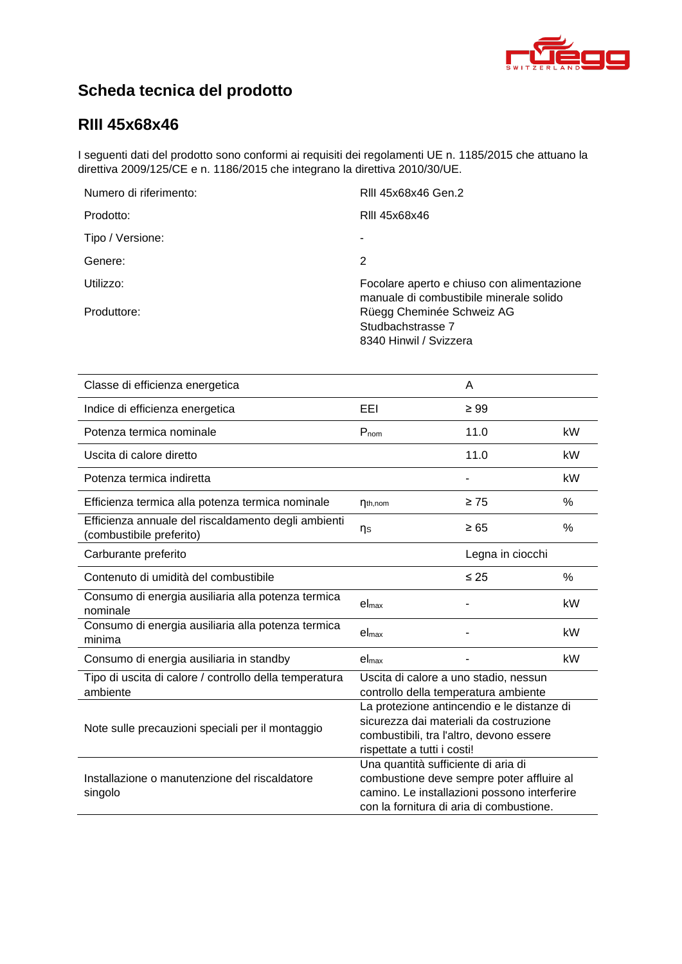

# **Scheda tecnica del prodotto**

### **RIII [45x68x46](#page-0-0)**

I seguenti dati del prodotto sono conformi ai requisiti dei regolamenti UE n. 1185/2015 che attuano la direttiva 2009/125/CE e n. 1186/2015 che integrano la direttiva 2010/30/UE.

| Numero di riferimento: | RIII 45x68x46 Gen.2                                                                   |
|------------------------|---------------------------------------------------------------------------------------|
| Prodotto:              | RIII 45x68x46                                                                         |
| Tipo / Versione:       |                                                                                       |
| Genere:                | 2                                                                                     |
| Utilizzo:              | Focolare aperto e chiuso con alimentazione<br>manuale di combustibile minerale solido |
| Produttore:            | Rüegg Cheminée Schweiz AG<br>Studbachstrasse 7<br>8340 Hinwil / Svizzera              |

| Classe di efficienza energetica                                                 |                                                                                                                                                                              | A         |      |
|---------------------------------------------------------------------------------|------------------------------------------------------------------------------------------------------------------------------------------------------------------------------|-----------|------|
| Indice di efficienza energetica                                                 | EEL                                                                                                                                                                          | $\geq 99$ |      |
| Potenza termica nominale                                                        | $P_{nom}$                                                                                                                                                                    | 11.0      | kW   |
| Uscita di calore diretto                                                        |                                                                                                                                                                              | 11.0      | kW   |
| Potenza termica indiretta                                                       |                                                                                                                                                                              |           | kW   |
| Efficienza termica alla potenza termica nominale                                | $\eta_{th,nom}$                                                                                                                                                              | $\geq 75$ | %    |
| Efficienza annuale del riscaldamento degli ambienti<br>(combustibile preferito) | $\n  n\n$                                                                                                                                                                    | $\geq 65$ | %    |
| Carburante preferito                                                            | Legna in ciocchi                                                                                                                                                             |           |      |
| Contenuto di umidità del combustibile                                           |                                                                                                                                                                              | $\leq 25$ | $\%$ |
| Consumo di energia ausiliaria alla potenza termica<br>nominale                  | el <sub>max</sub>                                                                                                                                                            |           | kW   |
| Consumo di energia ausiliaria alla potenza termica<br>minima                    | $el_{\text{max}}$                                                                                                                                                            |           | kW   |
| Consumo di energia ausiliaria in standby                                        | el <sub>max</sub>                                                                                                                                                            |           | kW   |
| Tipo di uscita di calore / controllo della temperatura<br>ambiente              | Uscita di calore a uno stadio, nessun<br>controllo della temperatura ambiente                                                                                                |           |      |
| Note sulle precauzioni speciali per il montaggio                                | La protezione antincendio e le distanze di<br>sicurezza dai materiali da costruzione<br>combustibili, tra l'altro, devono essere<br>rispettate a tutti i costi!              |           |      |
| Installazione o manutenzione del riscaldatore<br>singolo                        | Una quantità sufficiente di aria di<br>combustione deve sempre poter affluire al<br>camino. Le installazioni possono interferire<br>con la fornitura di aria di combustione. |           |      |